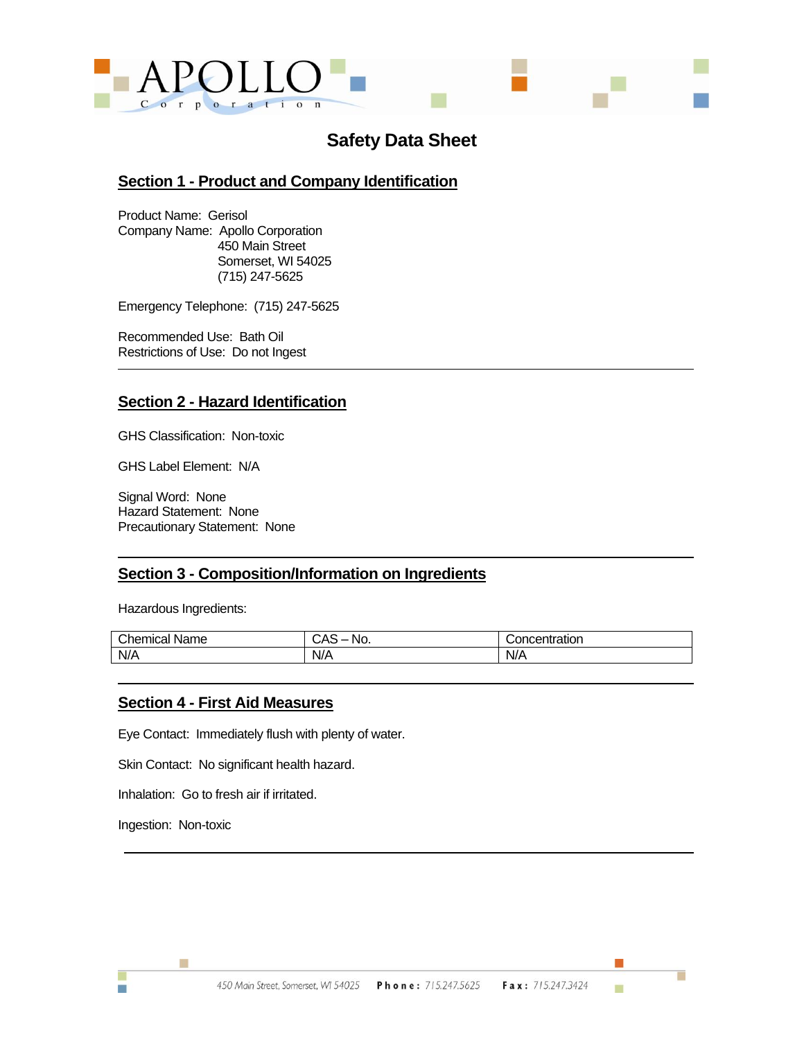

# **Safety Data Sheet**

### **Section 1 - Product and Company Identification**

Product Name: Gerisol Company Name: Apollo Corporation 450 Main Street Somerset, WI 54025 (715) 247-5625

Emergency Telephone: (715) 247-5625

Recommended Use: Bath Oil Restrictions of Use: Do not Ingest

## **Section 2 - Hazard Identification**

GHS Classification: Non-toxic

GHS Label Element: N/A

Signal Word: None Hazard Statement: None Precautionary Statement: None

### **Section 3 - Composition/Information on Ingredients**

Hazardous Ingredients:

| Chemical<br>Name | No.<br>ັບ∩ບ∶ | Concentration |
|------------------|--------------|---------------|
| N/A              | N/A          | N/A           |

### **Section 4 - First Aid Measures**

Eye Contact: Immediately flush with plenty of water.

Skin Contact: No significant health hazard.

Inhalation: Go to fresh air if irritated.

Ingestion: Non-toxic

Ħ

ш

г

ш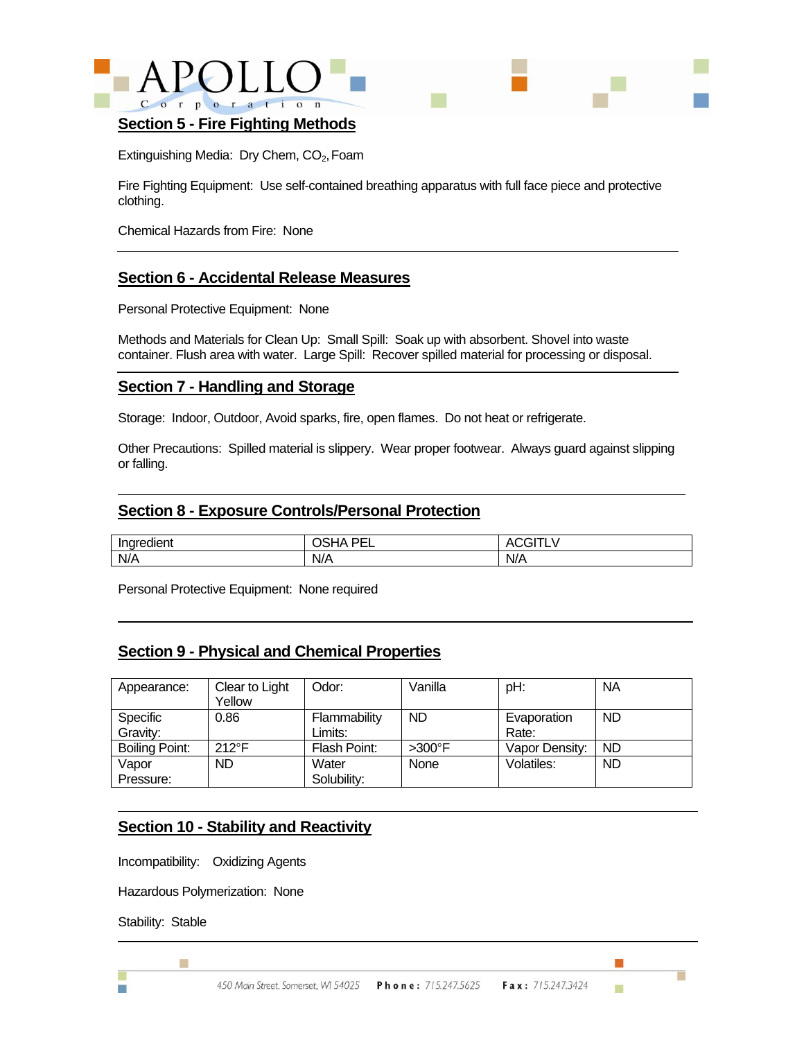



#### **Section 5 - Fire Fighting Methods**

Extinguishing Media: Dry Chem, CO<sub>2</sub>, Foam

Fire Fighting Equipment: Use self-contained breathing apparatus with full face piece and protective clothing.

Chemical Hazards from Fire: None

#### **Section 6 - Accidental Release Measures**

Personal Protective Equipment: None

Methods and Materials for Clean Up: Small Spill: Soak up with absorbent. Shovel into waste container. Flush area with water. Large Spill: Recover spilled material for processing or disposal.

#### **Section 7 - Handling and Storage**

Storage: Indoor, Outdoor, Avoid sparks, fire, open flames. Do not heat or refrigerate.

Other Precautions: Spilled material is slippery. Wear proper footwear. Always guard against slipping or falling.

#### **Section 8 - Exposure Controls/Personal Protection**

| $\cdots$<br>Indredient | <b>DEI</b><br>ı<br>-- |                        |
|------------------------|-----------------------|------------------------|
| N/A                    | N/A                   | $\blacksquare$<br>'V/A |

Personal Protective Equipment: None required

### **Section 9 - Physical and Chemical Properties**

| Appearance:           | Clear to Light<br>Yellow | Odor:                   | Vanilla        | pH:                  | <b>NA</b> |
|-----------------------|--------------------------|-------------------------|----------------|----------------------|-----------|
| Specific<br>Gravity:  | 0.86                     | Flammability<br>Limits: | <b>ND</b>      | Evaporation<br>Rate: | <b>ND</b> |
| <b>Boiling Point:</b> | $212^{\circ}F$           | Flash Point:            | $>300^\circ F$ | Vapor Density:       | <b>ND</b> |
| Vapor<br>Pressure:    | <b>ND</b>                | Water<br>Solubility:    | None           | Volatiles:           | <b>ND</b> |

### **Section 10 - Stability and Reactivity**

Incompatibility: Oxidizing Agents

Hazardous Polymerization: None

Stability: Stable

m.

Ħ

m